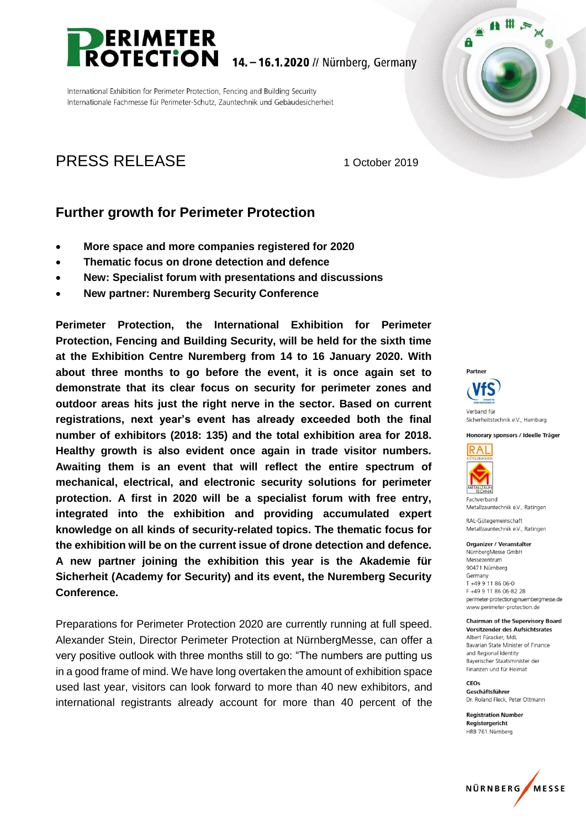

International Exhibition for Perimeter Protection, Fencing and Building Security Internationale Fachmesse für Perimeter-Schutz, Zauntechnik und Gebäudesicherheit

# PRESS RELEASE 1 October 2019

## **Further growth for Perimeter Protection**

- **More space and more companies registered for 2020**
- **Thematic focus on drone detection and defence**
- **New: Specialist forum with presentations and discussions**
- **New partner: Nuremberg Security Conference**

**Perimeter Protection, the International Exhibition for Perimeter Protection, Fencing and Building Security, will be held for the sixth time at the Exhibition Centre Nuremberg from 14 to 16 January 2020. With about three months to go before the event, it is once again set to demonstrate that its clear focus on security for perimeter zones and outdoor areas hits just the right nerve in the sector. Based on current registrations, next year's event has already exceeded both the final number of exhibitors (2018: 135) and the total exhibition area for 2018. Healthy growth is also evident once again in trade visitor numbers. Awaiting them is an event that will reflect the entire spectrum of mechanical, electrical, and electronic security solutions for perimeter protection. A first in 2020 will be a specialist forum with free entry, integrated into the exhibition and providing accumulated expert knowledge on all kinds of security-related topics. The thematic focus for the exhibition will be on the current issue of drone detection and defence. A new partner joining the exhibition this year is the Akademie für Sicherheit (Academy for Security) and its event, the Nuremberg Security Conference.**

Preparations for Perimeter Protection 2020 are currently running at full speed. Alexander Stein, Director Perimeter Protection at NürnbergMesse, can offer a very positive outlook with three months still to go: "The numbers are putting us in a good frame of mind. We have long overtaken the amount of exhibition space used last year, visitors can look forward to more than 40 new exhibitors, and international registrants already account for more than 40 percent of the Partner



Sicherheitstechnik e.V., Hamburg

 $\mathbf{A}$ # A

A

Honorary sponsors / Ideelle Träger



Fachverband Metallzauntechnik e.V., Ratingen

RAL-Gütegemeinschaft Metallzauntechnik e.V. Ratingen

#### Organizer / Veranstalter

NürnbergMesse GmbH Messezentrum 90471 Nürnberg Germany T +49 9 11 86 06-0 F +49 9 11 86 06-82 28 perimeter-protection@nuernbergmesse.de www.perimeter-protection.de

**Chairman of the Supervisory Board Vorsitzender des Aufsichtsrates** Albert Füracker, MdL Bayarian State Minister of Finance and Regional Identity Baverischer Staatsminister der Finanzen und für Heimat

CEOS Geschäftsführer Dr. Roland Fleck, Peter Ottmann

**Registration Number** Registergericht HRB 761 Nürnberg

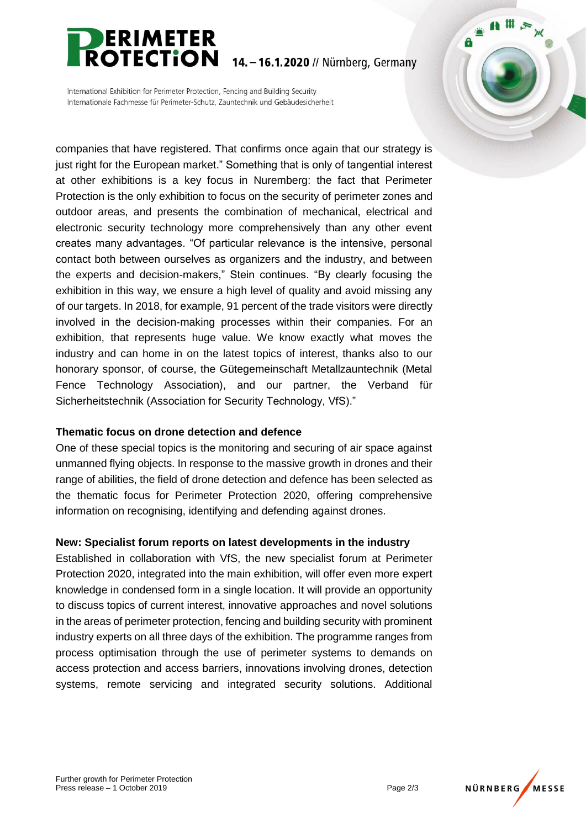

14. - 16.1.2020 // Nürnberg, Germany

International Exhibition for Perimeter Protection, Fencing and Building Security Internationale Fachmesse für Perimeter-Schutz, Zauntechnik und Gebäudesicherheit

companies that have registered. That confirms once again that our strategy is just right for the European market." Something that is only of tangential interest at other exhibitions is a key focus in Nuremberg: the fact that Perimeter Protection is the only exhibition to focus on the security of perimeter zones and outdoor areas, and presents the combination of mechanical, electrical and electronic security technology more comprehensively than any other event creates many advantages. "Of particular relevance is the intensive, personal contact both between ourselves as organizers and the industry, and between the experts and decision-makers," Stein continues. "By clearly focusing the exhibition in this way, we ensure a high level of quality and avoid missing any of our targets. In 2018, for example, 91 percent of the trade visitors were directly involved in the decision-making processes within their companies. For an exhibition, that represents huge value. We know exactly what moves the industry and can home in on the latest topics of interest, thanks also to our honorary sponsor, of course, the Gütegemeinschaft Metallzauntechnik (Metal Fence Technology Association), and our partner, the Verband für Sicherheitstechnik (Association for Security Technology, VfS)."

#### **Thematic focus on drone detection and defence**

One of these special topics is the monitoring and securing of air space against unmanned flying objects. In response to the massive growth in drones and their range of abilities, the field of drone detection and defence has been selected as the thematic focus for Perimeter Protection 2020, offering comprehensive information on recognising, identifying and defending against drones.

### **New: Specialist forum reports on latest developments in the industry**

Established in collaboration with VfS, the new specialist forum at Perimeter Protection 2020, integrated into the main exhibition, will offer even more expert knowledge in condensed form in a single location. It will provide an opportunity to discuss topics of current interest, innovative approaches and novel solutions in the areas of perimeter protection, fencing and building security with prominent industry experts on all three days of the exhibition. The programme ranges from process optimisation through the use of perimeter systems to demands on access protection and access barriers, innovations involving drones, detection systems, remote servicing and integrated security solutions. Additional



 $\mathbf{A}$  #  $\mathbf{B}$